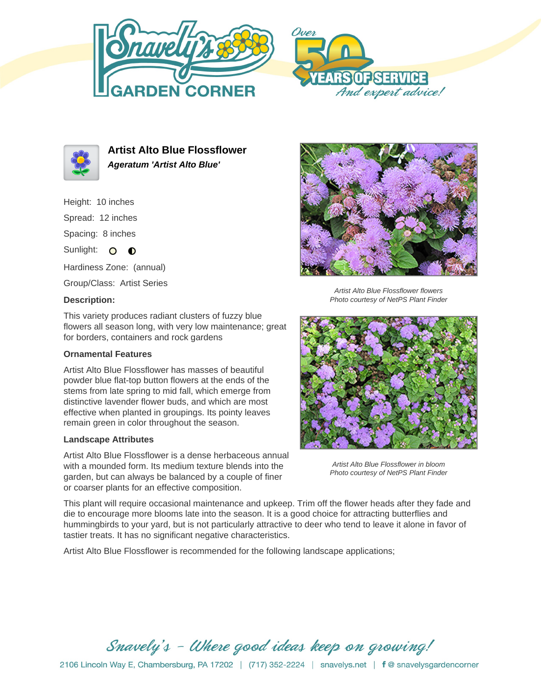





**Artist Alto Blue Flossflower Ageratum 'Artist Alto Blue'**

Height: 10 inches Spread: 12 inches Spacing: 8 inches Sunlight: O O

Hardiness Zone: (annual) Group/Class: Artist Series

## **Description:**

Artist Alto Blue Flossflower flowers Photo courtesy of NetPS Plant Finder

This variety produces radiant clusters of fuzzy blue flowers all season long, with very low maintenance; great for borders, containers and rock gardens

## **Ornamental Features**

Artist Alto Blue Flossflower has masses of beautiful powder blue flat-top button flowers at the ends of the stems from late spring to mid fall, which emerge from distinctive lavender flower buds, and which are most effective when planted in groupings. Its pointy leaves remain green in color throughout the season.

## **Landscape Attributes**

Artist Alto Blue Flossflower is a dense herbaceous annual with a mounded form. Its medium texture blends into the garden, but can always be balanced by a couple of finer or coarser plants for an effective composition.

Artist Alto Blue Flossflower in bloom Photo courtesy of NetPS Plant Finder

This plant will require occasional maintenance and upkeep. Trim off the flower heads after they fade and die to encourage more blooms late into the season. It is a good choice for attracting butterflies and hummingbirds to your yard, but is not particularly attractive to deer who tend to leave it alone in favor of tastier treats. It has no significant negative characteristics.

Artist Alto Blue Flossflower is recommended for the following landscape applications;

Snavely's - Where good ideas keep on growing!